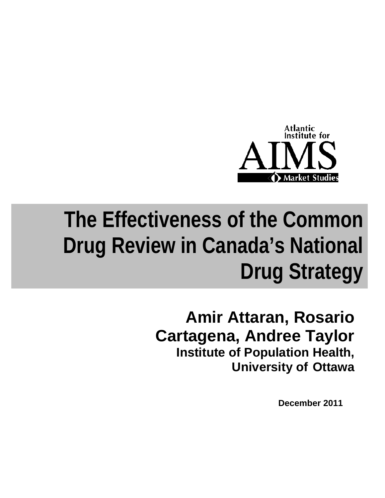

# **The Effectiveness of the Common Drug Review in Canada's National Drug Strategy**

## **Amir Attaran, Rosario Cartagena, Andree Taylor Institute of Population Health, University of Ottawa**

**December 2011**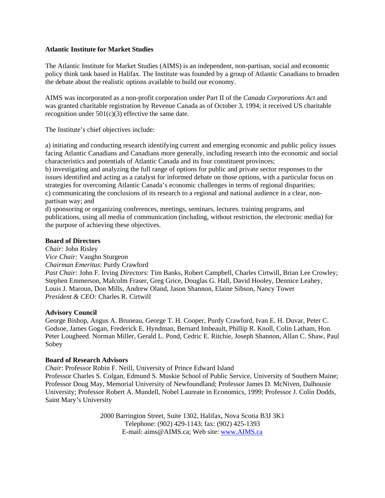### **Atlantic Institute for Market Studies**

The Atlantic Institute for Market Studies (AIMS) is an independent, non-partisan, social and economic policy think tank based in Halifax. The Institute was founded by a group of Atlantic Canadians to broaden the debate about the realistic options available to build our economy.

AIMS was incorporated as a non-profit corporation under Part II of the *Canada Corporations Act* and was granted charitable registration by Revenue Canada as of October 3, 1994; it received US charitable recognition under  $501(c)(3)$  effective the same date.

The Institute's chief objectives include:

a) initiating and conducting research identifying current and emerging economic and public policy issues facing Atlantic Canadians and Canadians more generally, including research into the economic and social characteristics and potentials of Atlantic Canada and its four constituent provinces;

b) investigating and analyzing the full range of options for public and private sector responses to the issues identified and acting as a catalyst for informed debate on those options, with a particular focus on strategies for overcoming Atlantic Canada's economic challenges in terms of regional disparities; c) communicating the conclusions of its research to a regional and national audience in a clear, nonpartisan way; and

d) sponsoring or organizing conferences, meetings, seminars, lectures. training programs, and publications, using all media of communication (including, without restriction, the electronic media) for the purpose of achieving these objectives.

### **Board of Directors**

*Chair:* John Risley *Vice Chair:* Vaughn Sturgeon *Chairman Emeritus*: Purdy Crawford *Past Chair:* John F. Irving *Directors*: Tim Banks, Robert Campbell, Charles Cirtwill, Brian Lee Crowley; Stephen Emmerson, Malcolm Fraser, Greg Grice, Douglas G. Hall, David Hooley, Dennice Leahey, Louis J. Maroun, Don Mills, Andrew Oland, Jason Shannon, Elaine Sibson, Nancy Tower *President & CEO:* Charles R. Cirtwill

### **Advisory Council**

George Bishop, Angus A. Bruneau, George T. H. Cooper, Purdy Crawford, Ivan E. H. Duvar, Peter C. Godsoe, James Gogan, Frederick E. Hyndman, Bernard Imbeault, Phillip R. Knoll, Colin Latham, Hon. Peter Lougheed. Norman Miller, Gerald L. Pond, Cedric E. Ritchie, Joseph Shannon, Allan C. Shaw, Paul Sobey

### **Board of Research Advisors**

*Chair*: Professor Robin F. Neill, University of Prince Edward Island Professor Charles S. Colgan, Edmund S. Muskie School of Public Service, University of Southern Maine; Professor Doug May, Memorial University of Newfoundland; Professor James D. McNiven, Dalhousie University; Professor Robert A. Mundell, Nobel Laureate in Economics, 1999; Professor J. Colin Dodds, Saint Mary's University

> 2000 Barrington Street, Suite 1302, Halifax, Nova Scotia B3J 3K1 Telephone: (902) 429-1143; fax: (902) 425-1393 E-mail: aims@AIMS.ca; Web site: [www.AIMS.ca](http://www.aims.ca/)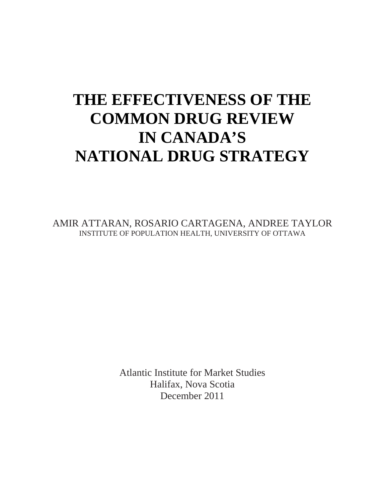## **THE EFFECTIVENESS OF THE COMMON DRUG REVIEW IN CANADA'S NATIONAL DRUG STRATEGY**

AMIR ATTARAN, ROSARIO CARTAGENA, ANDREE TAYLOR INSTITUTE OF POPULATION HEALTH, UNIVERSITY OF OTTAWA

> Atlantic Institute for Market Studies Halifax, Nova Scotia December 2011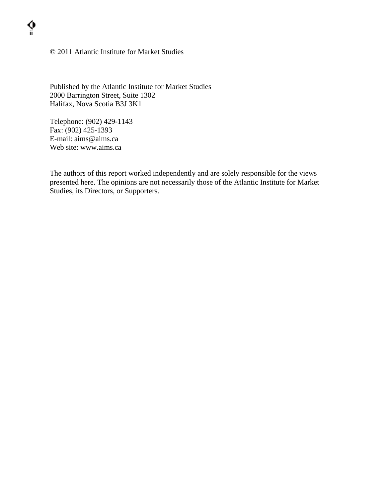### © 2011 Atlantic Institute for Market Studies

Published by the Atlantic Institute for Market Studies 2000 Barrington Street, Suite 1302 Halifax, Nova Scotia B3J 3K1

Telephone: (902) 429-1143 Fax: (902) 425-1393 E-mail: aims@aims.ca Web site: www.aims.ca

**ii** 

The authors of this report worked independently and are solely responsible for the views presented here. The opinions are not necessarily those of the Atlantic Institute for Market Studies, its Directors, or Supporters.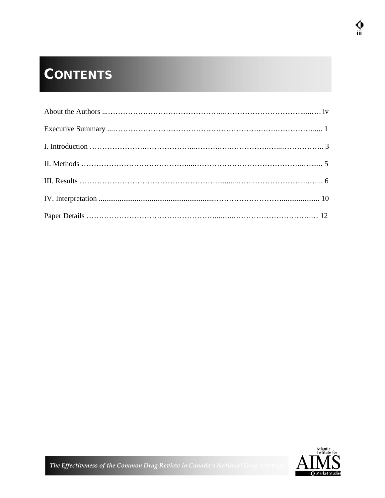## **CONTENTS**

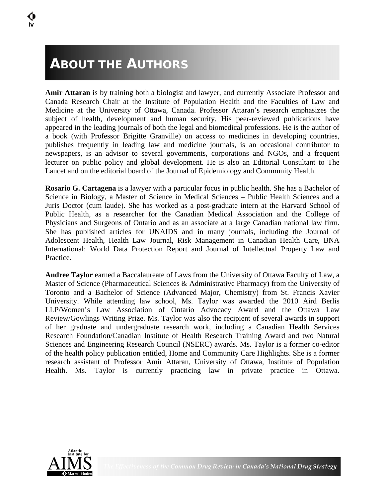### **ABOUT THE AUTHORS**

**Amir Attaran** is by training both a biologist and lawyer, and currently Associate Professor and Canada Research Chair at the Institute of Population Health and the Faculties of Law and Medicine at the University of Ottawa, Canada. Professor Attaran's research emphasizes the subject of health, development and human security. His peer-reviewed publications have appeared in the leading journals of both the legal and biomedical professions. He is the author of a book (with Professor Brigitte Granville) on access to medicines in developing countries, publishes frequently in leading law and medicine journals, is an occasional contributor to newspapers, is an advisor to several governments, corporations and NGOs, and a frequent lecturer on public policy and global development. He is also an Editorial Consultant to The Lancet and on the editorial board of the Journal of Epidemiology and Community Health.

**Rosario G. Cartagena** is a lawyer with a particular focus in public health. She has a Bachelor of Science in Biology, a Master of Science in Medical Sciences – Public Health Sciences and a Juris Doctor (cum laude). She has worked as a post-graduate intern at the Harvard School of Public Health, as a researcher for the Canadian Medical Association and the College of Physicians and Surgeons of Ontario and as an associate at a large Canadian national law firm. She has published articles for UNAIDS and in many journals, including the Journal of Adolescent Health, Health Law Journal, Risk Management in Canadian Health Care, BNA International: World Data Protection Report and Journal of Intellectual Property Law and Practice.

**Andree Taylor** earned a Baccalaureate of Laws from the University of Ottawa Faculty of Law, a Master of Science (Pharmaceutical Sciences & Administrative Pharmacy) from the University of Toronto and a Bachelor of Science (Advanced Major, Chemistry) from St. Francis Xavier University. While attending law school, Ms. Taylor was awarded the 2010 Aird Berlis LLP/Women's Law Association of Ontario Advocacy Award and the Ottawa Law Review/Gowlings Writing Prize. Ms. Taylor was also the recipient of several awards in support of her graduate and undergraduate research work, including a Canadian Health Services Research Foundation/Canadian Institute of Health Research Training Award and two Natural Sciences and Engineering Research Council (NSERC) awards. Ms. Taylor is a former co-editor of the health policy publication entitled, Home and Community Care Highlights. She is a former research assistant of Professor Amir Attaran, University of Ottawa, Institute of Population Health. Ms. Taylor is currently practicing law in private practice in Ottawa.

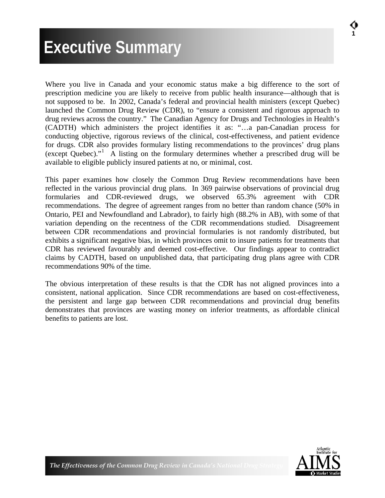## **Executive Summary**

l.

Where you live in Canada and your economic status make a big difference to the sort of prescription medicine you are likely to receive from public health insurance—although that is not supposed to be. In 2002, Canada's federal and provincial health ministers (except Quebec) launched the Common Drug Review (CDR), to "ensure a consistent and rigorous approach to drug reviews across the country." The Canadian Agency for Drugs and Technologies in Health's (CADTH) which administers the project identifies it as: "…a pan-Canadian process for conducting objective, rigorous reviews of the clinical, cost-effectiveness, and patient evidence for drugs. CDR also provides formulary listing recommendations to the provinces' drug plans (except Quebec)."[1](#page-19-0) A listing on the formulary determines whether a prescribed drug will be available to eligible publicly insured patients at no, or minimal, cost.

This paper examines how closely the Common Drug Review recommendations have been reflected in the various provincial drug plans. In 369 pairwise observations of provincial drug formularies and CDR-reviewed drugs, we observed 65.3% agreement with CDR recommendations. The degree of agreement ranges from no better than random chance (50% in Ontario, PEI and Newfoundland and Labrador), to fairly high (88.2% in AB), with some of that variation depending on the recentness of the CDR recommendations studied. Disagreement between CDR recommendations and provincial formularies is not randomly distributed, but exhibits a significant negative bias, in which provinces omit to insure patients for treatments that CDR has reviewed favourably and deemed cost-effective. Our findings appear to contradict claims by CADTH, based on unpublished data, that participating drug plans agree with CDR recommendations 90% of the time.

The obvious interpretation of these results is that the CDR has not aligned provinces into a consistent, national application. Since CDR recommendations are based on cost-effectiveness, the persistent and large gap between CDR recommendations and provincial drug benefits demonstrates that provinces are wasting money on inferior treatments, as affordable clinical benefits to patients are lost.

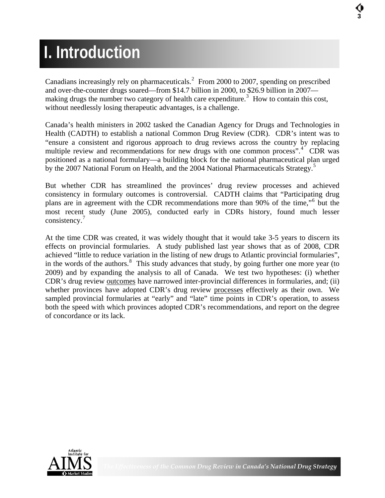## **I. Introduction**

Canadians increasingly rely on pharmaceuticals.<sup>[2](#page-19-1)</sup> From 2000 to 2007, spending on prescribed and over-the-counter drugs soared—from \$14.7 billion in 2000, to \$26.9 billion in 2007— making drugs the number two category of health care expenditure.<sup>[3](#page-19-1)</sup> How to contain this cost, without needlessly losing therapeutic advantages, is a challenge.

Canada's health ministers in 2002 tasked the Canadian Agency for Drugs and Technologies in Health (CADTH) to establish a national Common Drug Review (CDR). CDR's intent was to "ensure a consistent and rigorous approach to drug reviews across the country by replacing multiple review and recommendations for new drugs with one common process".<sup>[4](#page-19-1)</sup> CDR was positioned as a national formulary—a building block for the national pharmaceutical plan urged by the 2007 National Forum on Health, and the 2004 National Pharmaceuticals Strategy.<sup>[5](#page-19-1)</sup>

But whether CDR has streamlined the provinces' drug review processes and achieved consistency in formulary outcomes is controversial. CADTH claims that "Participating drug plans are in agreement with the CDR recommendations more than 90% of the time,"<sup>[6](#page-19-1)</sup> but the most recent study (June 2005), conducted early in CDRs history, found much lesser consistency. $7$ 

At the time CDR was created, it was widely thought that it would take 3-5 years to discern its effects on provincial formularies. A study published last year shows that as of 2008, CDR achieved "little to reduce variation in the listing of new drugs to Atlantic provincial formularies", in the words of the authors.<sup>[8](#page-19-1)</sup> This study advances that study, by going further one more year (to 2009) and by expanding the analysis to all of Canada. We test two hypotheses: (i) whether CDR's drug review outcomes have narrowed inter-provincial differences in formularies, and; (ii) whether provinces have adopted CDR's drug review processes effectively as their own. We sampled provincial formularies at "early" and "late" time points in CDR's operation, to assess both the speed with which provinces adopted CDR's recommendations, and report on the degree of concordance or its lack.

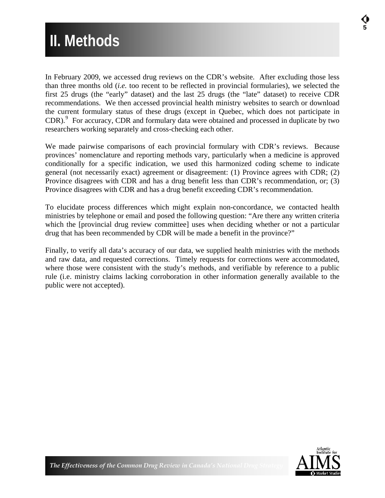### **5 II. Methods**

In February 2009, we accessed drug reviews on the CDR's website. After excluding those less than three months old (*i.e.* too recent to be reflected in provincial formularies), we selected the first 25 drugs (the "early" dataset) and the last 25 drugs (the "late" dataset) to receive CDR recommendations. We then accessed provincial health ministry websites to search or download the current formulary status of these drugs (except in Quebec, which does not participate in CDR).<sup>[9](#page-19-1)</sup> For accuracy, CDR and formulary data were obtained and processed in duplicate by two researchers working separately and cross-checking each other.

We made pairwise comparisons of each provincial formulary with CDR's reviews. Because provinces' nomenclature and reporting methods vary, particularly when a medicine is approved conditionally for a specific indication, we used this harmonized coding scheme to indicate general (not necessarily exact) agreement or disagreement: (1) Province agrees with CDR; (2) Province disagrees with CDR and has a drug benefit less than CDR's recommendation, or; (3) Province disagrees with CDR and has a drug benefit exceeding CDR's recommendation.

To elucidate process differences which might explain non-concordance, we contacted health ministries by telephone or email and posed the following question: "Are there any written criteria which the [provincial drug review committee] uses when deciding whether or not a particular drug that has been recommended by CDR will be made a benefit in the province?"

Finally, to verify all data's accuracy of our data, we supplied health ministries with the methods and raw data, and requested corrections. Timely requests for corrections were accommodated, where those were consistent with the study's methods, and verifiable by reference to a public rule (i.e. ministry claims lacking corroboration in other information generally available to the public were not accepted).

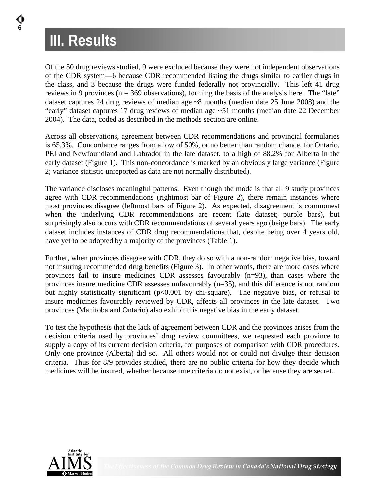## **III. Results**

**6** 

Of the 50 drug reviews studied, 9 were excluded because they were not independent observations of the CDR system—6 because CDR recommended listing the drugs similar to earlier drugs in the class, and 3 because the drugs were funded federally not provincially. This left 41 drug reviews in 9 provinces ( $n = 369$  observations), forming the basis of the analysis here. The "late" dataset captures 24 drug reviews of median age ~8 months (median date 25 June 2008) and the "early" dataset captures 17 drug reviews of median age ~51 months (median date 22 December 2004). The data, coded as described in the methods section are online.

Across all observations, agreement between CDR recommendations and provincial formularies is 65.3%. Concordance ranges from a low of 50%, or no better than random chance, for Ontario, PEI and Newfoundland and Labrador in the late dataset, to a high of 88.2% for Alberta in the early dataset (Figure 1). This non-concordance is marked by an obviously large variance (Figure 2; variance statistic unreported as data are not normally distributed).

The variance discloses meaningful patterns. Even though the mode is that all 9 study provinces agree with CDR recommendations (rightmost bar of Figure 2), there remain instances where most provinces disagree (leftmost bars of Figure 2). As expected, disagreement is commonest when the underlying CDR recommendations are recent (late dataset; purple bars), but surprisingly also occurs with CDR recommendations of several years ago (beige bars). The early dataset includes instances of CDR drug recommendations that, despite being over 4 years old, have yet to be adopted by a majority of the provinces (Table 1).

Further, when provinces disagree with CDR, they do so with a non-random negative bias, toward not insuring recommended drug benefits (Figure 3). In other words, there are more cases where provinces fail to insure medicines CDR assesses favourably (n=93), than cases where the provinces insure medicine CDR assesses unfavourably (n=35), and this difference is not random but highly statistically significant (p<0.001 by chi-square). The negative bias, or refusal to insure medicines favourably reviewed by CDR, affects all provinces in the late dataset. Two provinces (Manitoba and Ontario) also exhibit this negative bias in the early dataset.

To test the hypothesis that the lack of agreement between CDR and the provinces arises from the decision criteria used by provinces' drug review committees, we requested each province to supply a copy of its current decision criteria, for purposes of comparison with CDR procedures. Only one province (Alberta) did so. All others would not or could not divulge their decision criteria. Thus for 8/9 provides studied, there are no public criteria for how they decide which medicines will be insured, whether because true criteria do not exist, or because they are secret.

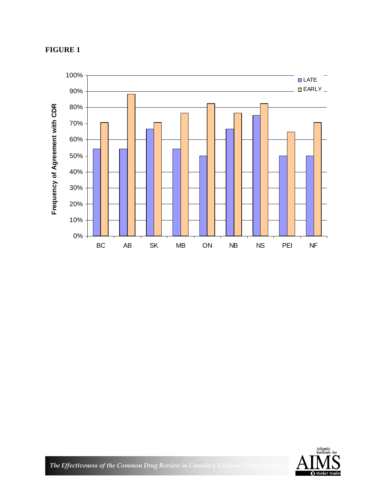### **FIGURE 1**





*The Effectiveness of the Common Drug Review in Canada's National Drug*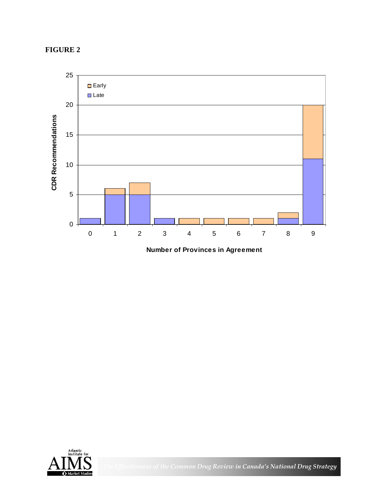### **FIGURE 2**



**Number of Provinces in Agreement**



*The Effectiveness of the Common Drug Review in Canada's National Drug Strategy*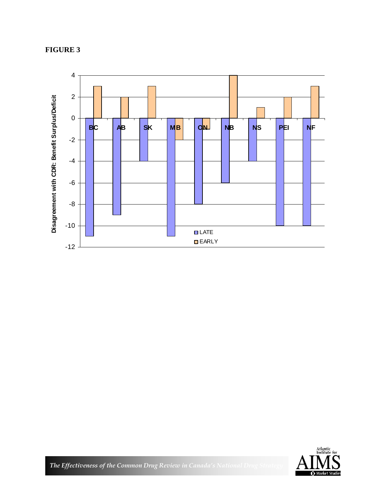### **FIGURE 3**





*The Effectiveness of the Common Drug Review in Canada's National Drug Strategy of the Common Drug Strategy And Effectiveness*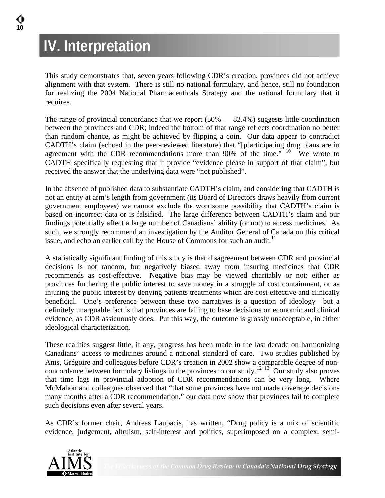## **IV. Interpretation**

This study demonstrates that, seven years following CDR's creation, provinces did not achieve alignment with that system. There is still no national formulary, and hence, still no foundation for realizing the 2004 National Pharmaceuticals Strategy and the national formulary that it requires.

The range of provincial concordance that we report  $(50\% - 82.4\%)$  suggests little coordination between the provinces and CDR; indeed the bottom of that range reflects coordination no better than random chance, as might be achieved by flipping a coin. Our data appear to contradict CADTH's claim (echoed in the peer-reviewed literature) that "[p]articipating drug plans are in agreement with the CDR recommendations more than  $90\%$  of the time." <sup>[10](#page-19-1)</sup> We wrote to CADTH specifically requesting that it provide "evidence please in support of that claim", but received the answer that the underlying data were "not published".

In the absence of published data to substantiate CADTH's claim, and considering that CADTH is not an entity at arm's length from government (its Board of Directors draws heavily from current government employees) we cannot exclude the worrisome possibility that CADTH's claim is based on incorrect data or is falsified. The large difference between CADTH's claim and our findings potentially affect a large number of Canadians' ability (or not) to access medicines. As such, we strongly recommend an investigation by the Auditor General of Canada on this critical issue, and echo an earlier call by the House of Commons for such an audit. $11$ 

A statistically significant finding of this study is that disagreement between CDR and provincial decisions is not random, but negatively biased away from insuring medicines that CDR recommends as cost-effective. Negative bias may be viewed charitably or not: either as provinces furthering the public interest to save money in a struggle of cost containment, or as injuring the public interest by denying patients treatments which are cost-effective and clinically beneficial. One's preference between these two narratives is a question of ideology—but a definitely unarguable fact is that provinces are failing to base decisions on economic and clinical evidence, as CDR assiduously does. Put this way, the outcome is grossly unacceptable, in either ideological characterization.

These realities suggest little, if any, progress has been made in the last decade on harmonizing Canadians' access to medicines around a national standard of care. Two studies published by Anis, Grégoire and colleagues before CDR's creation in 2002 show a comparable degree of non-concordance between formulary listings in the provinces to our study.<sup>[12](#page-19-1)</sup> <sup>[13](#page-19-1)</sup> Our study also proves that time lags in provincial adoption of CDR recommendations can be very long. Where McMahon and colleagues observed that "that some provinces have not made coverage decisions many months after a CDR recommendation," our data now show that provinces fail to complete such decisions even after several years.

As CDR's former chair, Andreas Laupacis, has written, "Drug policy is a mix of scientific evidence, judgement, altruism, self-interest and politics, superimposed on a complex, semi-

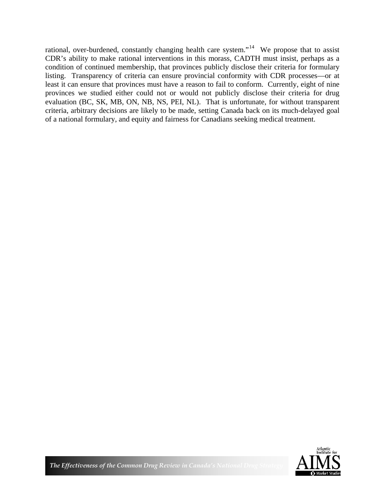rational, over-burdened, constantly changing health care system."<sup>[14](#page-19-1)</sup> We propose that to assist CDR's ability to make rational interventions in this morass, CADTH must insist, perhaps as a condition of continued membership, that provinces publicly disclose their criteria for formulary listing. Transparency of criteria can ensure provincial conformity with CDR processes—or at least it can ensure that provinces must have a reason to fail to conform. Currently, eight of nine provinces we studied either could not or would not publicly disclose their criteria for drug evaluation (BC, SK, MB, ON, NB, NS, PEI, NL). That is unfortunate, for without transparent criteria, arbitrary decisions are likely to be made, setting Canada back on its much-delayed goal of a national formulary, and equity and fairness for Canadians seeking medical treatment.

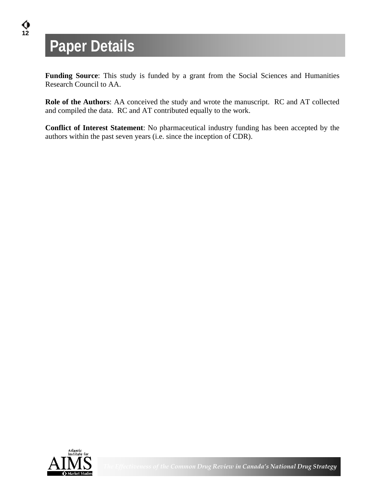## **Paper Details**

**Funding Source**: This study is funded by a grant from the Social Sciences and Humanities Research Council to AA.

**Role of the Authors**: AA conceived the study and wrote the manuscript. RC and AT collected and compiled the data. RC and AT contributed equally to the work.

**Conflict of Interest Statement**: No pharmaceutical industry funding has been accepted by the authors within the past seven years (i.e. since the inception of CDR).

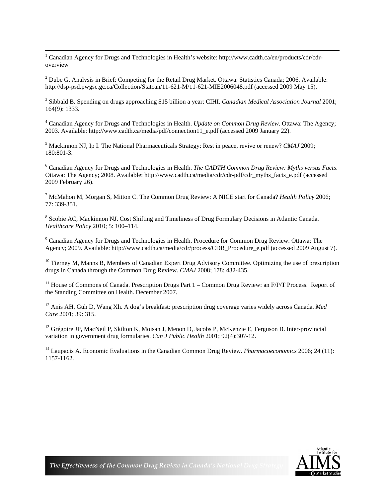$\frac{1}{1}$  Canadian Agency for Drugs and Technologies in Health's website: http://www.cadth.ca/en/products/cdr/cdroverview

<sup>2</sup> Dube G. Analysis in Brief: Competing for the Retail Drug Market. Ottawa: Statistics Canada; 2006. Available: http://dsp-psd.pwgsc.gc.ca/Collection/Statcan/11-621-M/11-621-MIE2006048.pdf (accessed 2009 May 15).

3 Sibbald B. Spending on drugs approaching \$15 billion a year: CIHI. *Canadian Medical Association Journal* 2001; 164(9): 1333.

4 Canadian Agency for Drugs and Technologies in Health. *Update on Common Drug Review*. Ottawa: The Agency; 2003. Available: http://www.cadth.ca/media/pdf/connection11\_e.pdf (accessed 2009 January 22).

5 Mackinnon NJ, Ip I. The National Pharmaceuticals Strategy: Rest in peace, revive or renew? *CMAJ* 2009; 180:801-3.

6 Canadian Agency for Drugs and Technologies in Health. *The CADTH Common Drug Review: Myths versus Facts*. Ottawa: The Agency; 2008. Available: http://www.cadth.ca/media/cdr/cdr-pdf/cdr\_myths\_facts\_e.pdf (accessed 2009 February 26).

7 McMahon M, Morgan S, Mitton C. The Common Drug Review: A NICE start for Canada? *Health Policy* 2006; 77: 339-351.

<sup>8</sup> Scobie AC, Mackinnon NJ. Cost Shifting and Timeliness of Drug Formulary Decisions in Atlantic Canada. *Healthcare Policy* 2010; 5: 100–114.

<sup>9</sup> Canadian Agency for Drugs and Technologies in Health. Procedure for Common Drug Review. Ottawa: The Agency; 2009. Available: http://www.cadth.ca/media/cdr/process/CDR\_Procedure\_e.pdf (accessed 2009 August 7).

<sup>10</sup> Tierney M, Manns B, Members of Canadian Expert Drug Advisory Committee. Optimizing the use of prescription drugs in Canada through the Common Drug Review. *CMAJ* 2008; 178: 432-435.

<sup>11</sup> House of Commons of Canada. Prescription Drugs Part  $1$  – Common Drug Review: an  $F/P/T$  Process. Report of the Standing Committee on Health. December 2007.

12 Anis AH, Guh D, Wang Xh. A dog's breakfast: prescription drug coverage varies widely across Canada. *Med Care* 2001; 39: 315.

<sup>13</sup> Grégoire JP, MacNeil P, Skilton K, Moisan J, Menon D, Jacobs P, McKenzie E, Ferguson B. Inter-provincial variation in government drug formularies. *Can J Public Health* 2001; 92(4):307-12.

14 Laupacis A. Economic Evaluations in the Canadian Common Drug Review. *Pharmacoeconomics* 2006; 24 (11): 1157-1162.



*The Effectiveness of the Common Drug Review in Canada's National Dr.*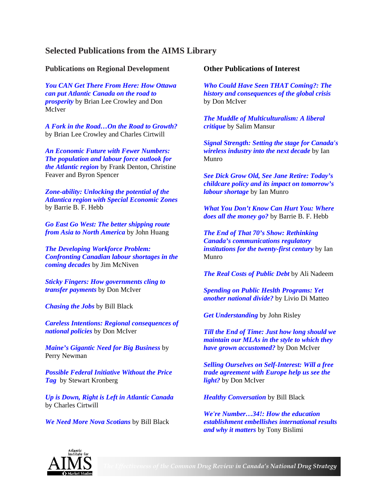### **Selected Publications from the AIMS Library**

### **Publications on Regional Development**

*[You CAN Get There From Here: How Ottawa](http://www.aims.ca/en/home/library/details.aspx/921?dp=)  [can put Atlantic Canada on the road to](http://www.aims.ca/en/home/library/details.aspx/921?dp=)  [prosperity](http://www.aims.ca/en/home/library/details.aspx/921?dp=)* by Brian Lee Crowley and Don McIver

*[A Fork in the Road…On the Road to Growth?](http://www.aims.ca/en/home/library/details.aspx/2381)* by Brian Lee Crowley and Charles Cirtwill

*[An Economic Future with Fewer Numbers:](http://www.aims.ca/en/home/library/details.aspx/2751?dp=)  [The population and labour force outlook for](http://www.aims.ca/en/home/library/details.aspx/2751?dp=)  [the Atlantic region](http://www.aims.ca/en/home/library/details.aspx/2751?dp=)* by Frank Denton, Christine Feaver and Byron Spencer

*[Zone-ability: Unlocking the potential of the](http://www.aims.ca/en/home/library/details.aspx/2726?dp=)  [Atlantica region with Special Economic Zones](http://www.aims.ca/en/home/library/details.aspx/2726?dp=)* by Barrie B. F. Hebb

*[Go East Go West: The better shipping route](http://www.aims.ca/en/home/library/details.aspx/2721?dp=)  [from Asia to North America](http://www.aims.ca/en/home/library/details.aspx/2721?dp=)* by John Huang

*[The Developing Workforce Problem:](http://www.aims.ca/en/home/library/details.aspx/2421?dp=)  [Confronting Canadian labour shortages in the](http://www.aims.ca/en/home/library/details.aspx/2421?dp=)  [coming decades](http://www.aims.ca/en/home/library/details.aspx/2421?dp=)* by Jim McNiven

*[Sticky Fingers: How governments cling to](http://www.aims.ca/en/home/library/details.aspx/3223?dp=)  [transfer payments](http://www.aims.ca/en/home/library/details.aspx/3223?dp=)* by Don McIver

*[Chasing the Jobs](http://www.aims.ca/en/home/library/details.aspx/3222?dp=)* by Bill Black

*[Careless Intentions: Regional consequences of](http://www.aims.ca/en/home/library/details.aspx/3191?dp=)  [national policies](http://www.aims.ca/en/home/library/details.aspx/3191?dp=)* by Don McIver

*[Maine's Gigantic Need for Big Business](http://www.aims.ca/en/home/library/details.aspx/3190?dp=)* by Perry Newman

*[Possible Federal Initiative Without the Price](http://www.aims.ca/en/home/library/details.aspx/3167?dp=)  [Tag](http://www.aims.ca/en/home/library/details.aspx/3167?dp=)* by Stewart Kronberg

*[Up is Down, Right is Left in Atlantic Canada](http://www.aims.ca/en/home/library/details.aspx/3072?dp=)* by Charles Cirtwill

*[We Need More Nova Scotians](http://www.aims.ca/en/home/library/details.aspx/3065?dp=)* by Bill Black

### **Other Publications of Interest**

*[Who Could Have Seen THAT Coming?: The](http://www.aims.ca/en/home/library/details.aspx/2979?dp=)  [history and consequences of the global crisis](http://www.aims.ca/en/home/library/details.aspx/2979?dp=)* by Don McIver

*[The Muddle of Multiculturalism: A liberal](http://www.aims.ca/en/home/library/details.aspx/3053?dp=)  [critique](http://www.aims.ca/en/home/library/details.aspx/3053?dp=)* by Salim Mansur

*[Signal Strength: Setting the stage for Canada's](http://www.aims.ca/en/home/library/details.aspx/3048?dp=)  [wireless industry into the next decade](http://www.aims.ca/en/home/library/details.aspx/3048?dp=)* by Ian Munro

*[See Dick Grow Old, See Jane Retire: Today's](http://www.aims.ca/en/home/library/details.aspx/3042?dp=)  [childcare policy and its impact on tomorrow's](http://www.aims.ca/en/home/library/details.aspx/3042?dp=)  [labour shortage](http://www.aims.ca/en/home/library/details.aspx/3042?dp=)* by Ian Munro

*[What You Don't Know Can Hurt You: Where](http://www.aims.ca/en/home/library/details.aspx/2969?dp=)  [does all the money go?](http://www.aims.ca/en/home/library/details.aspx/2969?dp=)* by Barrie B. F. Hebb

*[The End of That 70's Show: Rethinking](http://www.aims.ca/en/home/library/details.aspx/2734?dp=)  [Canada's communications regulatory](http://www.aims.ca/en/home/library/details.aspx/2734?dp=)  [institutions for the twenty-first century](http://www.aims.ca/en/home/library/details.aspx/2734?dp=)* by Ian Munro

*[The Real Costs of Public Debt](http://www.aims.ca/en/home/library/details.aspx/3239?dp=)* by Ali Nadeem

*[Spending on Public Heslth Programs: Yet](http://www.aims.ca/en/home/library/details.aspx/3220?dp=)  [another national divide?](http://www.aims.ca/en/home/library/details.aspx/3220?dp=)* by Livio Di Matteo

*[Get Understanding](http://www.aims.ca/en/home/library/details.aspx/3219?dp=)* by John Risley

*[Till the End of Time: Just how long should we](http://www.aims.ca/en/home/library/details.aspx/3209?dp=)  [maintain our MLAs in the style to which they](http://www.aims.ca/en/home/library/details.aspx/3209?dp=)  [have grown accustomed?](http://www.aims.ca/en/home/library/details.aspx/3209?dp=)* by Don McIver

*[Selling Ourselves on Self-Interest: Will a free](http://www.aims.ca/en/home/library/details.aspx/3201?dp=)  [trade agreement with Europe help us see the](http://www.aims.ca/en/home/library/details.aspx/3201?dp=)  [light?](http://www.aims.ca/en/home/library/details.aspx/3201?dp=)* by Don McIver

*[Healthy Conversation](http://www.aims.ca/en/home/library/details.aspx/3168?dp=)* by Bill Black

*[We're Number…34!: How the education](http://www.aims.ca/en/home/library/details.aspx/3158?dp=)  [establishment embellishes international results](http://www.aims.ca/en/home/library/details.aspx/3158?dp=)  [and why it matters](http://www.aims.ca/en/home/library/details.aspx/3158?dp=)* by Tony Bislimi



*The Effectiveness of the Common Drug Review in Canada's National Drug Strategy*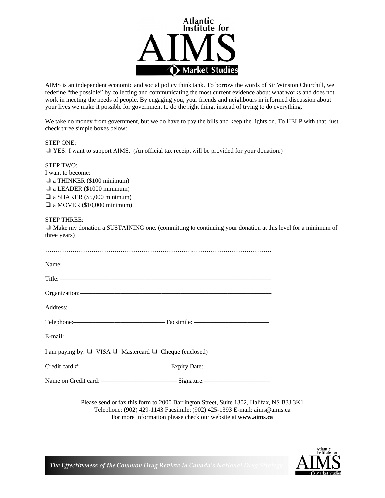

AIMS is an independent economic and social policy think tank. To borrow the words of Sir Winston Churchill, we redefine "the possible" by collecting and communicating the most current evidence about what works and does not work in meeting the needs of people. By engaging you, your friends and neighbours in informed discussion about your lives we make it possible for government to do the right thing, instead of trying to do everything.

We take no money from government, but we do have to pay the bills and keep the lights on. To HELP with that, just check three simple boxes below:

| STEP ONE: |                                                                                                   |
|-----------|---------------------------------------------------------------------------------------------------|
|           | $\Box$ YES! I want to support AIMS. (An official tax receipt will be provided for your donation.) |

STEP TWO: I want to become: ❑ a THINKER (\$100 minimum) ❑ a LEADER (\$1000 minimum) ❑ a SHAKER (\$5,000 minimum) ❑ a MOVER (\$10,000 minimum)

### STEP THREE:

❑ Make my donation a SUSTAINING one. (committing to continuing your donation at this level for a minimum of three years)

| Name: $\frac{1}{2}$ and $\frac{1}{2}$ and $\frac{1}{2}$ and $\frac{1}{2}$ and $\frac{1}{2}$ and $\frac{1}{2}$ and $\frac{1}{2}$ and $\frac{1}{2}$ and $\frac{1}{2}$ and $\frac{1}{2}$ and $\frac{1}{2}$ and $\frac{1}{2}$ and $\frac{1}{2}$ and $\frac{1}{2}$ and $\frac{1}{2}$ and $\frac{1$ |  |
|-----------------------------------------------------------------------------------------------------------------------------------------------------------------------------------------------------------------------------------------------------------------------------------------------|--|
|                                                                                                                                                                                                                                                                                               |  |
|                                                                                                                                                                                                                                                                                               |  |
| Address: National Address: National Address: National Address: National Address: National Address: National Address: National Address: National Address: National Address: National Address: National Address: National Addres                                                                |  |
|                                                                                                                                                                                                                                                                                               |  |
| E-mail: $\overline{\phantom{a}}$                                                                                                                                                                                                                                                              |  |
| I am paying by: $\Box$ VISA $\Box$ Mastercard $\Box$ Cheque (enclosed)                                                                                                                                                                                                                        |  |
|                                                                                                                                                                                                                                                                                               |  |
|                                                                                                                                                                                                                                                                                               |  |

Please send or fax this form to 2000 Barrington Street, Suite 1302, Halifax, NS B3J 3K1 Telephone: (902) 429-1143 Facsimile: (902) 425-1393 E-mail: aims@aims.ca For more information please check our website at **www.aims.ca**



**The Effectiveness of the Common Drug Review in Canada's National Dr**